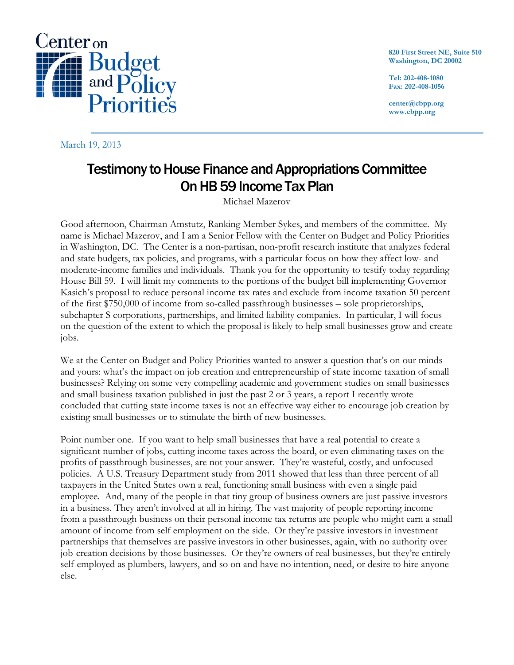

820 First Street NE, Suite 510 Washington, DC 20002

Tel: 202-408-1080 Fax: 202-408-1056

center@cbpp.org www.cbpp.org

March 19, 2013

## Testimony to House Finance and Appropriations Committee On HB 59 Income Tax Plan

Michael Mazerov

Good afternoon, Chairman Amstutz, Ranking Member Sykes, and members of the committee. My name is Michael Mazerov, and I am a Senior Fellow with the Center on Budget and Policy Priorities in Washington, DC. The Center is a non-partisan, non-profit research institute that analyzes federal and state budgets, tax policies, and programs, with a particular focus on how they affect low- and moderate-income families and individuals. Thank you for the opportunity to testify today regarding House Bill 59. I will limit my comments to the portions of the budget bill implementing Governor Kasich's proposal to reduce personal income tax rates and exclude from income taxation 50 percent of the first \$750,000 of income from so-called passthrough businesses – sole proprietorships, subchapter S corporations, partnerships, and limited liability companies. In particular, I will focus on the question of the extent to which the proposal is likely to help small businesses grow and create jobs.

We at the Center on Budget and Policy Priorities wanted to answer a question that's on our minds and yours: what's the impact on job creation and entrepreneurship of state income taxation of small businesses? Relying on some very compelling academic and government studies on small businesses and small business taxation published in just the past 2 or 3 years, a report I recently wrote concluded that cutting state income taxes is not an effective way either to encourage job creation by existing small businesses or to stimulate the birth of new businesses.

Point number one. If you want to help small businesses that have a real potential to create a significant number of jobs, cutting income taxes across the board, or even eliminating taxes on the profits of passthrough businesses, are not your answer. They're wasteful, costly, and unfocused policies. A U.S. Treasury Department study from 2011 showed that less than three percent of all taxpayers in the United States own a real, functioning small business with even a single paid employee. And, many of the people in that tiny group of business owners are just passive investors in a business. They aren't involved at all in hiring. The vast majority of people reporting income from a passthrough business on their personal income tax returns are people who might earn a small amount of income from self employment on the side. Or they're passive investors in investment partnerships that themselves are passive investors in other businesses, again, with no authority over job-creation decisions by those businesses. Or they're owners of real businesses, but they're entirely self-employed as plumbers, lawyers, and so on and have no intention, need, or desire to hire anyone else.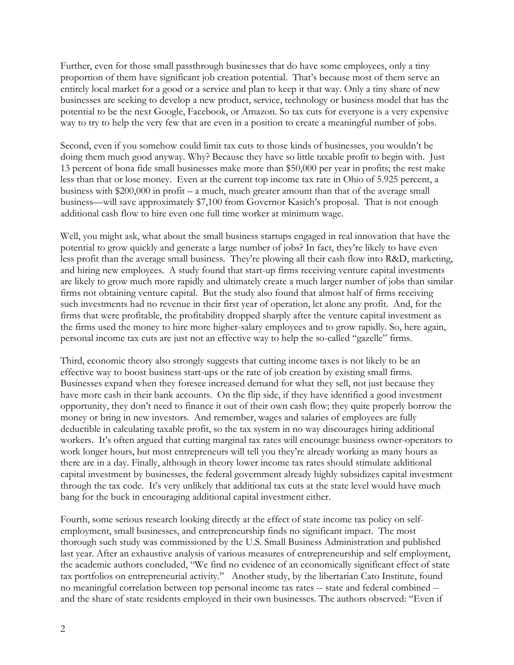Further, even for those small passthrough businesses that do have some employees, only a tiny proportion of them have significant job creation potential. That's because most of them serve an entirely local market for a good or a service and plan to keep it that way. Only a tiny share of new businesses are seeking to develop a new product, service, technology or business model that has the potential to be the next Google, Facebook, or Amazon. So tax cuts for everyone is a very expensive way to try to help the very few that are even in a position to create a meaningful number of jobs.

Second, even if you somehow could limit tax cuts to those kinds of businesses, you wouldn't be doing them much good anyway. Why? Because they have so little taxable profit to begin with. Just 13 percent of bona fide small businesses make more than \$50,000 per year in profits; the rest make less than that or lose money. Even at the current top income tax rate in Ohio of 5.925 percent, a business with \$200,000 in profit – a much, much greater amount than that of the average small business—will save approximately \$7,100 from Governor Kasich's proposal. That is not enough additional cash flow to hire even one full time worker at minimum wage.

Well, you might ask, what about the small business startups engaged in real innovation that have the potential to grow quickly and generate a large number of jobs? In fact, they're likely to have even less profit than the average small business. They're plowing all their cash flow into R&D, marketing, and hiring new employees. A study found that start-up firms receiving venture capital investments are likely to grow much more rapidly and ultimately create a much larger number of jobs than similar firms not obtaining venture capital. But the study also found that almost half of firms receiving such investments had no revenue in their first year of operation, let alone any profit. And, for the firms that were profitable, the profitability dropped sharply after the venture capital investment as the firms used the money to hire more higher-salary employees and to grow rapidly. So, here again, personal income tax cuts are just not an effective way to help the so-called "gazelle" firms.

Third, economic theory also strongly suggests that cutting income taxes is not likely to be an effective way to boost business start-ups or the rate of job creation by existing small firms. Businesses expand when they foresee increased demand for what they sell, not just because they have more cash in their bank accounts. On the flip side, if they have identified a good investment opportunity, they don't need to finance it out of their own cash flow; they quite properly borrow the money or bring in new investors. And remember, wages and salaries of employees are fully deductible in calculating taxable profit, so the tax system in no way discourages hiring additional workers. It's often argued that cutting marginal tax rates will encourage business owner-operators to work longer hours, but most entrepreneurs will tell you they're already working as many hours as there are in a day. Finally, although in theory lower income tax rates should stimulate additional capital investment by businesses, the federal government already highly subsidizes capital investment through the tax code. It's very unlikely that additional tax cuts at the state level would have much bang for the buck in encouraging additional capital investment either.

Fourth, some serious research looking directly at the effect of state income tax policy on selfemployment, small businesses, and entrepreneurship finds no significant impact. The most thorough such study was commissioned by the U.S. Small Business Administration and published last year. After an exhaustive analysis of various measures of entrepreneurship and self employment, the academic authors concluded, "We find no evidence of an economically significant effect of state tax portfolios on entrepreneurial activity." Another study, by the libertarian Cato Institute, found no meaningful correlation between top personal income tax rates -- state and federal combined - and the share of state residents employed in their own businesses. The authors observed: "Even if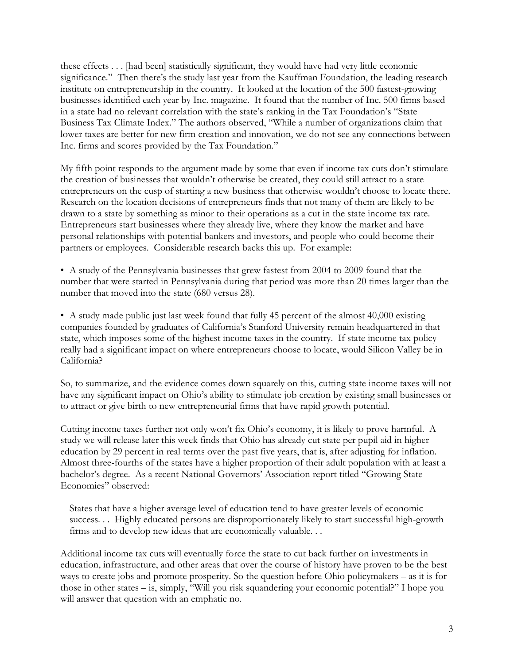these effects . . . [had been] statistically significant, they would have had very little economic significance." Then there's the study last year from the Kauffman Foundation, the leading research institute on entrepreneurship in the country. It looked at the location of the 500 fastest-growing businesses identified each year by Inc. magazine. It found that the number of Inc. 500 firms based in a state had no relevant correlation with the state's ranking in the Tax Foundation's "State Business Tax Climate Index." The authors observed, "While a number of organizations claim that lower taxes are better for new firm creation and innovation, we do not see any connections between Inc. firms and scores provided by the Tax Foundation."

My fifth point responds to the argument made by some that even if income tax cuts don't stimulate the creation of businesses that wouldn't otherwise be created, they could still attract to a state entrepreneurs on the cusp of starting a new business that otherwise wouldn't choose to locate there. Research on the location decisions of entrepreneurs finds that not many of them are likely to be drawn to a state by something as minor to their operations as a cut in the state income tax rate. Entrepreneurs start businesses where they already live, where they know the market and have personal relationships with potential bankers and investors, and people who could become their partners or employees. Considerable research backs this up. For example:

• A study of the Pennsylvania businesses that grew fastest from 2004 to 2009 found that the number that were started in Pennsylvania during that period was more than 20 times larger than the number that moved into the state (680 versus 28).

• A study made public just last week found that fully 45 percent of the almost 40,000 existing companies founded by graduates of California's Stanford University remain headquartered in that state, which imposes some of the highest income taxes in the country. If state income tax policy really had a significant impact on where entrepreneurs choose to locate, would Silicon Valley be in California?

So, to summarize, and the evidence comes down squarely on this, cutting state income taxes will not have any significant impact on Ohio's ability to stimulate job creation by existing small businesses or to attract or give birth to new entrepreneurial firms that have rapid growth potential.

Cutting income taxes further not only won't fix Ohio's economy, it is likely to prove harmful. A study we will release later this week finds that Ohio has already cut state per pupil aid in higher education by 29 percent in real terms over the past five years, that is, after adjusting for inflation. Almost three-fourths of the states have a higher proportion of their adult population with at least a bachelor's degree. As a recent National Governors' Association report titled "Growing State Economies" observed:

States that have a higher average level of education tend to have greater levels of economic success... Highly educated persons are disproportionately likely to start successful high-growth firms and to develop new ideas that are economically valuable. . .

Additional income tax cuts will eventually force the state to cut back further on investments in education, infrastructure, and other areas that over the course of history have proven to be the best ways to create jobs and promote prosperity. So the question before Ohio policymakers – as it is for those in other states – is, simply, "Will you risk squandering your economic potential?" I hope you will answer that question with an emphatic no.